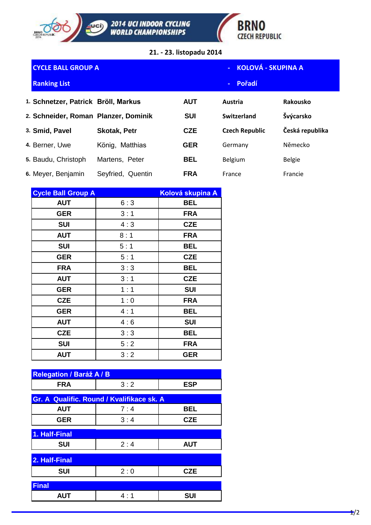



**21. - 23. listopadu 2014**

| <b>CYCLE BALL GROUP A</b>            |                     | KOLOVÁ - SKUPINA A |                       |                 |
|--------------------------------------|---------------------|--------------------|-----------------------|-----------------|
| <b>Ranking List</b>                  |                     |                    | Pořadí<br>$\sim$      |                 |
| 1. Schnetzer, Patrick Bröll, Markus  |                     | <b>AUT</b>         | Austria               | Rakousko        |
| 2. Schneider, Roman Planzer, Dominik |                     | <b>SUI</b>         | Switzerland           | Švýcarsko       |
| 3. Smid, Pavel                       | <b>Skotak, Petr</b> | <b>CZE</b>         | <b>Czech Republic</b> | Česká republika |
| 4. Berner, Uwe                       | König, Matthias     | <b>GER</b>         | Germany               | Německo         |
| 5. Baudu, Christoph                  | Martens, Peter      | <b>BEL</b>         | <b>Belgium</b>        | <b>Belgie</b>   |
| 6. Meyer, Benjamin                   | Seyfried, Quentin   | <b>FRA</b>         | France                | Francie         |

| <b>Cycle Ball Group A</b> |     | Kolová skupina A |
|---------------------------|-----|------------------|
| <b>AUT</b>                | 6:3 | <b>BEL</b>       |
| <b>GER</b>                | 3:1 | <b>FRA</b>       |
| <b>SUI</b>                | 4:3 | <b>CZE</b>       |
| <b>AUT</b>                | 8:1 | <b>FRA</b>       |
| <b>SUI</b>                | 5:1 | <b>BEL</b>       |
| <b>GER</b>                | 5:1 | <b>CZE</b>       |
| <b>FRA</b>                | 3:3 | <b>BEL</b>       |
| <b>AUT</b>                | 3:1 | <b>CZE</b>       |
| <b>GER</b>                | 1:1 | <b>SUI</b>       |
| <b>CZE</b>                | 1:0 | <b>FRA</b>       |
| <b>GER</b>                | 4:1 | <b>BEL</b>       |
| <b>AUT</b>                | 4:6 | <b>SUI</b>       |
| <b>CZE</b>                | 3:3 | <b>BEL</b>       |
| <b>SUI</b>                | 5:2 | <b>FRA</b>       |
| <b>AUT</b>                | 3:2 | <b>GER</b>       |

| <b>Relegation / Baráž A / B</b>           |     |            |  |  |  |
|-------------------------------------------|-----|------------|--|--|--|
| <b>FRA</b>                                | 3:2 | <b>ESP</b> |  |  |  |
|                                           |     |            |  |  |  |
| Gr. A Qualific. Round / Kvalifikace sk. A |     |            |  |  |  |
| <b>AUT</b>                                | 7:4 | <b>BEL</b> |  |  |  |
| <b>GER</b>                                | 3:4 | <b>CZE</b> |  |  |  |
|                                           |     |            |  |  |  |
| 1. Half-Final                             |     |            |  |  |  |
| <b>SUI</b>                                | 2:4 | <b>AUT</b> |  |  |  |
|                                           |     |            |  |  |  |
| 2. Half-Final                             |     |            |  |  |  |
| <b>SUI</b>                                | 2:0 | <b>CZE</b> |  |  |  |
|                                           |     |            |  |  |  |
| <b>Final</b>                              |     |            |  |  |  |
| <b>AUT</b>                                | 4:1 | <b>SUI</b> |  |  |  |